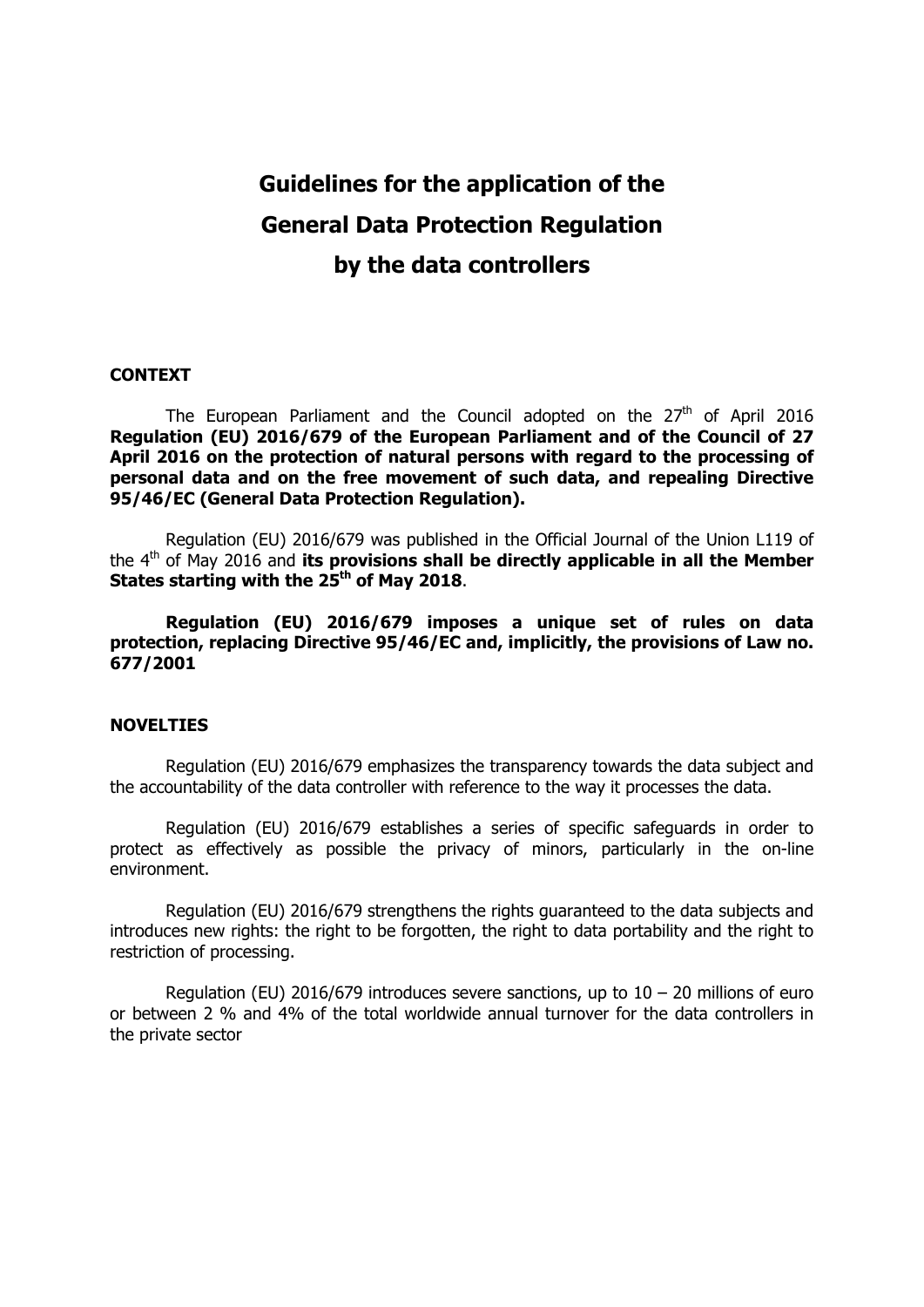# **Guidelines for the application of the General Data Protection Regulation by the data controllers**

#### **CONTEXT**

The European Parliament and the Council adopted on the  $27<sup>th</sup>$  of April 2016 **Regulation (EU) 2016/679 of the European Parliament and of the Council of 27 April 2016 on the protection of natural persons with regard to the processing of personal data and on the free movement of such data, and repealing Directive 95/46/EC (General Data Protection Regulation).** 

Regulation (EU) 2016/679 was published in the Official Journal of the Union L119 of the 4th of May 2016 and **its provisions shall be directly applicable in all the Member**  States starting with the 25<sup>th</sup> of May 2018.

**Regulation (EU) 2016/679 imposes a unique set of rules on data protection, replacing Directive 95/46/EC and, implicitly, the provisions of Law no. 677/2001** 

#### **NOVELTIES**

Regulation (EU) 2016/679 emphasizes the transparency towards the data subject and the accountability of the data controller with reference to the way it processes the data.

Regulation (EU) 2016/679 establishes a series of specific safeguards in order to protect as effectively as possible the privacy of minors, particularly in the on-line environment.

Regulation (EU) 2016/679 strengthens the rights guaranteed to the data subjects and introduces new rights: the right to be forgotten, the right to data portability and the right to restriction of processing.

Regulation (EU) 2016/679 introduces severe sanctions, up to  $10 - 20$  millions of euro or between 2 % and 4% of the total worldwide annual turnover for the data controllers in the private sector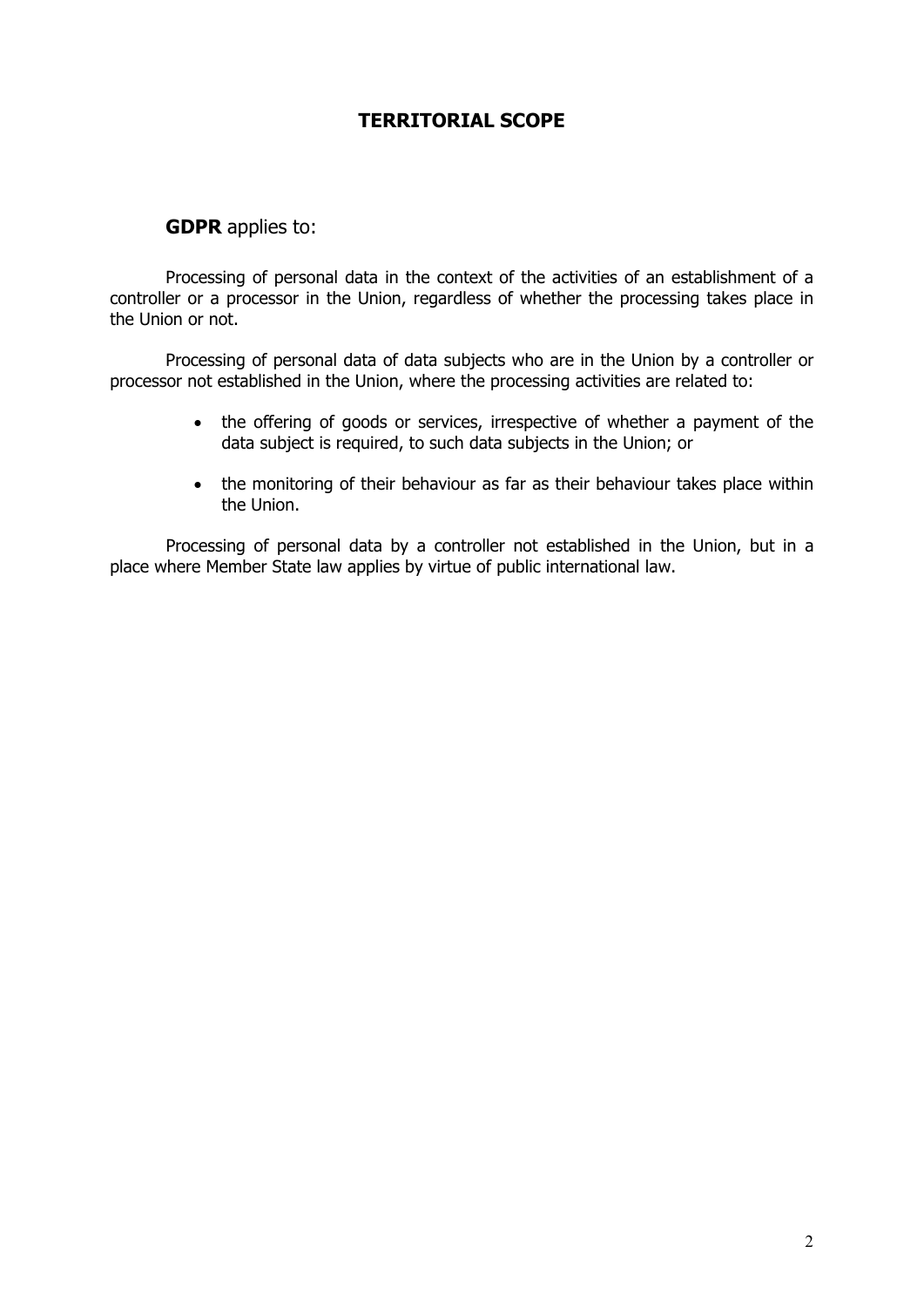## **TERRITORIAL SCOPE**

## **GDPR** applies to:

Processing of personal data in the context of the activities of an establishment of a controller or a processor in the Union, regardless of whether the processing takes place in the Union or not.

Processing of personal data of data subjects who are in the Union by a controller or processor not established in the Union, where the processing activities are related to:

- the offering of goods or services, irrespective of whether a payment of the data subject is required, to such data subjects in the Union; or
- the monitoring of their behaviour as far as their behaviour takes place within the Union.

Processing of personal data by a controller not established in the Union, but in a place where Member State law applies by virtue of public international law.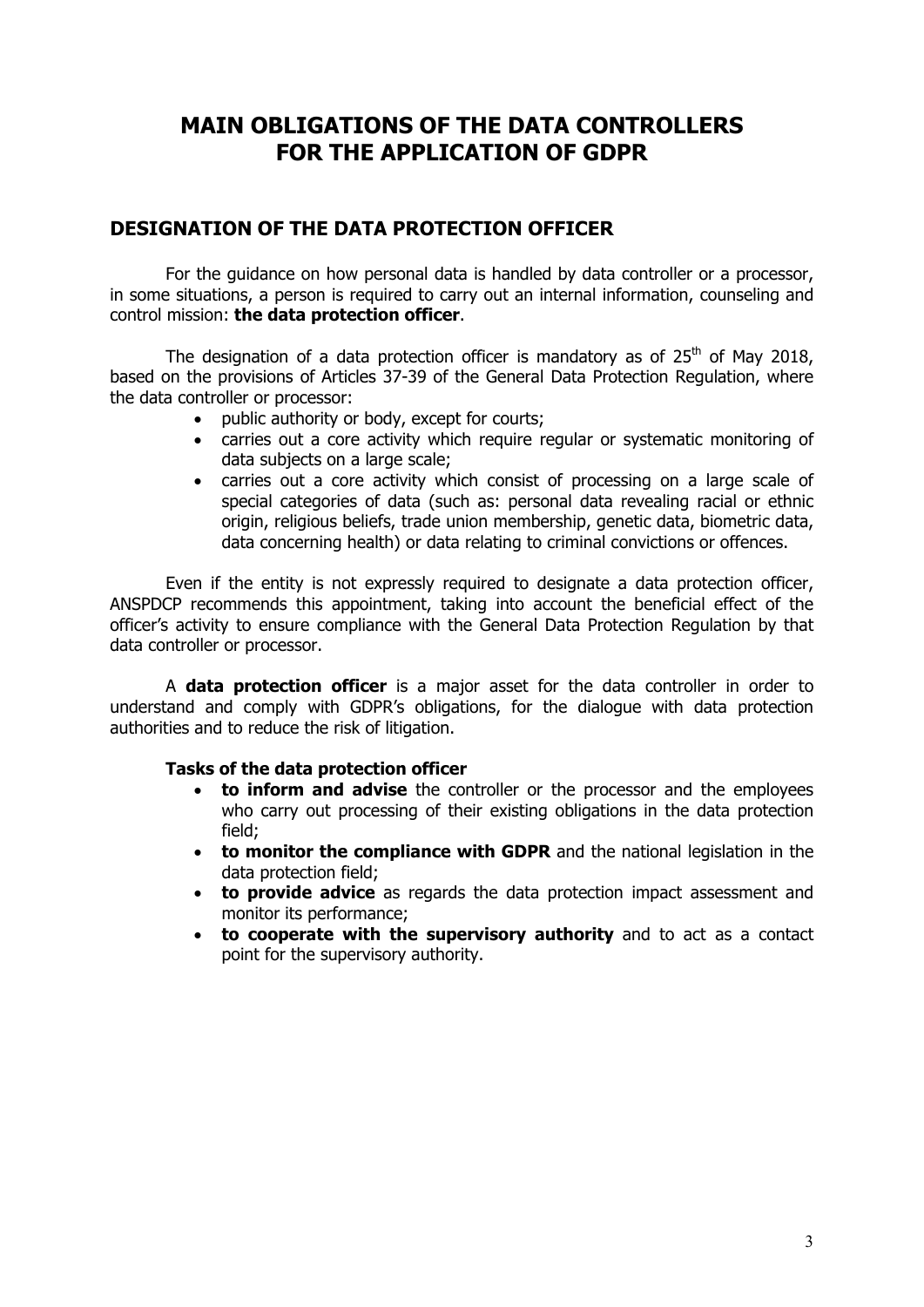## **MAIN OBLIGATIONS OF THE DATA CONTROLLERS FOR THE APPLICATION OF GDPR**

## **DESIGNATION OF THE DATA PROTECTION OFFICER**

For the guidance on how personal data is handled by data controller or a processor, in some situations, a person is required to carry out an internal information, counseling and control mission: **the data protection officer**.

The designation of a data protection officer is mandatory as of  $25<sup>th</sup>$  of May 2018, based on the provisions of Articles 37-39 of the General Data Protection Regulation, where the data controller or processor:

- public authority or body, except for courts;
- carries out a core activity which require regular or systematic monitoring of data subjects on a large scale;
- carries out a core activity which consist of processing on a large scale of special categories of data (such as: personal data revealing racial or ethnic origin, religious beliefs, trade union membership, genetic data, biometric data, data concerning health) or data relating to criminal convictions or offences.

Even if the entity is not expressly required to designate a data protection officer, ANSPDCP recommends this appointment, taking into account the beneficial effect of the officer's activity to ensure compliance with the General Data Protection Regulation by that data controller or processor.

A **data protection officer** is a major asset for the data controller in order to understand and comply with GDPR's obligations, for the dialogue with data protection authorities and to reduce the risk of litigation.

#### **Tasks of the data protection officer**

- **to inform and advise** the controller or the processor and the employees who carry out processing of their existing obligations in the data protection field;
- **to monitor the compliance with GDPR** and the national legislation in the data protection field;
- **to provide advice** as regards the data protection impact assessment and monitor its performance;
- **to cooperate with the supervisory authority** and to act as a contact point for the supervisory authority.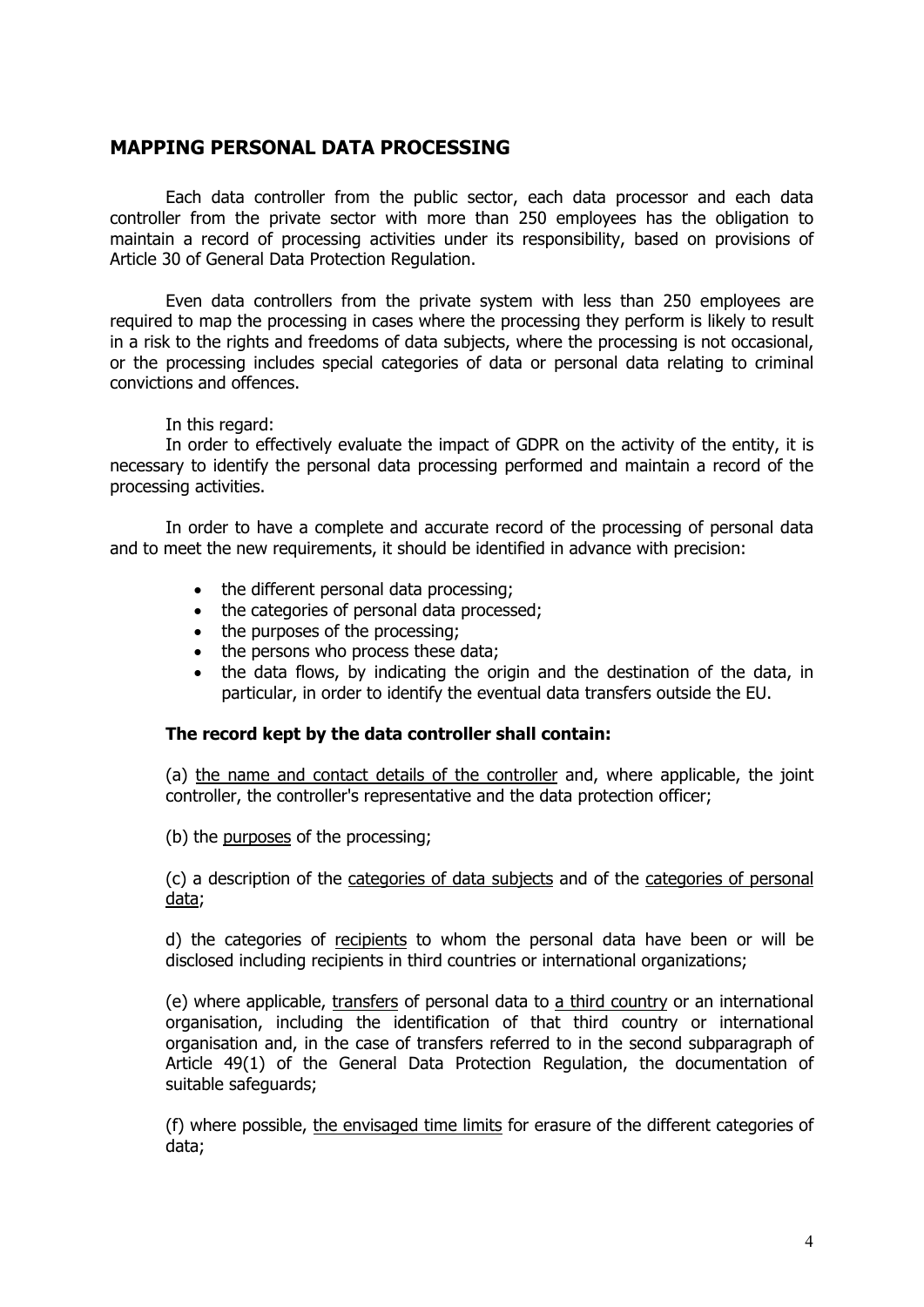## **MAPPING PERSONAL DATA PROCESSING**

Each data controller from the public sector, each data processor and each data controller from the private sector with more than 250 employees has the obligation to maintain a record of processing activities under its responsibility, based on provisions of Article 30 of General Data Protection Regulation.

Even data controllers from the private system with less than 250 employees are required to map the processing in cases where the processing they perform is likely to result in a risk to the rights and freedoms of data subjects, where the processing is not occasional, or the processing includes special categories of data or personal data relating to criminal convictions and offences.

#### In this regard:

In order to effectively evaluate the impact of GDPR on the activity of the entity, it is necessary to identify the personal data processing performed and maintain a record of the processing activities.

In order to have a complete and accurate record of the processing of personal data and to meet the new requirements, it should be identified in advance with precision:

- the different personal data processing;
- the categories of personal data processed;
- the purposes of the processing;
- the persons who process these data;
- the data flows, by indicating the origin and the destination of the data, in particular, in order to identify the eventual data transfers outside the EU.

#### **The record kept by the data controller shall contain:**

(a) the name and contact details of the controller and, where applicable, the joint controller, the controller's representative and the data protection officer;

(b) the purposes of the processing;

(c) a description of the categories of data subjects and of the categories of personal data;

d) the categories of recipients to whom the personal data have been or will be disclosed including recipients in third countries or international organizations;

(e) where applicable, transfers of personal data to a third country or an international organisation, including the identification of that third country or international organisation and, in the case of transfers referred to in the second subparagraph of Article 49(1) of the General Data Protection Regulation, the documentation of suitable safeguards;

(f) where possible, the envisaged time limits for erasure of the different categories of data;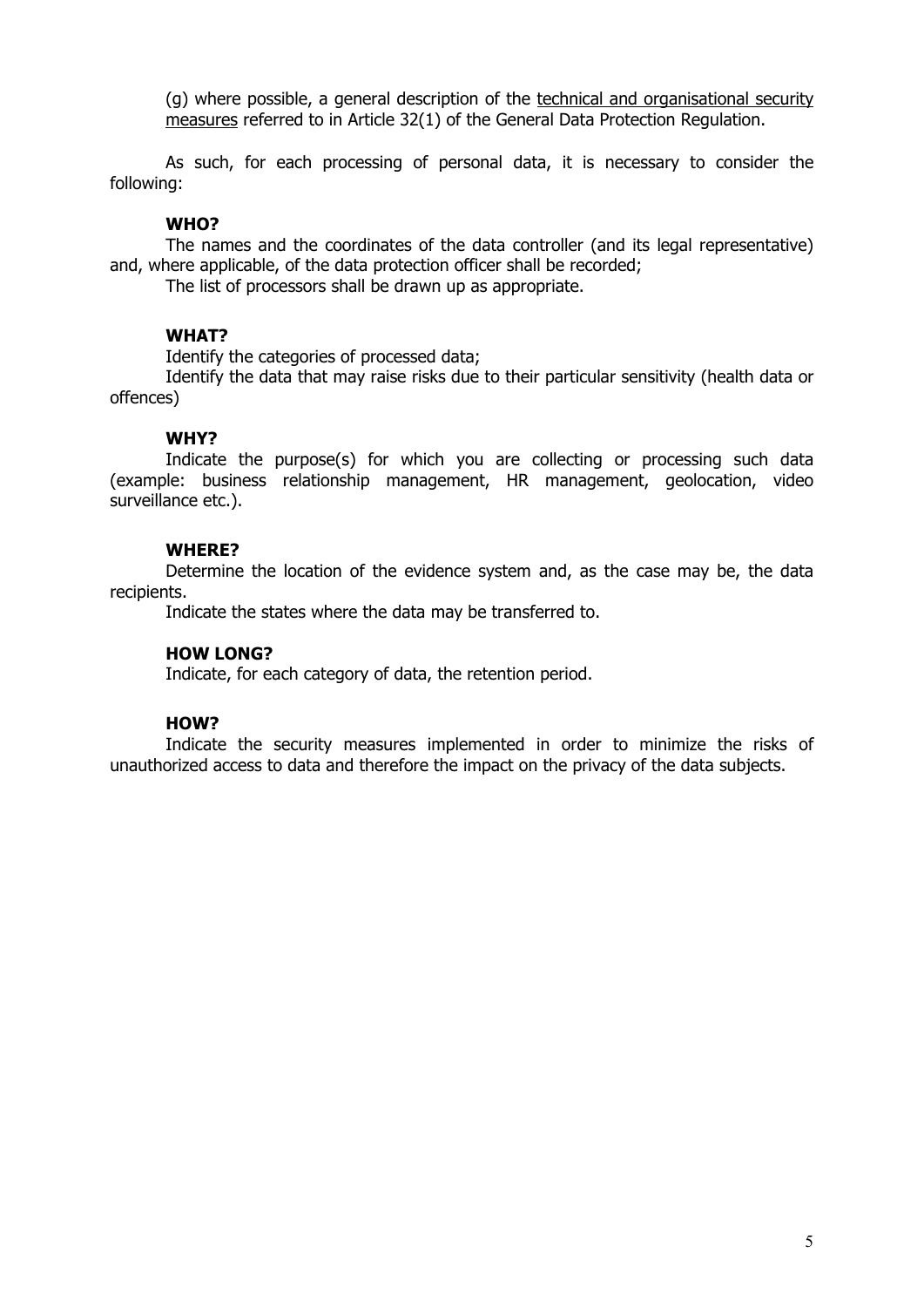(g) where possible, a general description of the technical and organisational security measures referred to in Article 32(1) of the General Data Protection Regulation.

As such, for each processing of personal data, it is necessary to consider the following:

#### **WHO?**

The names and the coordinates of the data controller (and its legal representative) and, where applicable, of the data protection officer shall be recorded;

The list of processors shall be drawn up as appropriate.

#### **WHAT?**

Identify the categories of processed data;

Identify the data that may raise risks due to their particular sensitivity (health data or offences)

#### **WHY?**

Indicate the purpose(s) for which you are collecting or processing such data (example: business relationship management, HR management, geolocation, video surveillance etc.).

#### **WHERE?**

Determine the location of the evidence system and, as the case may be, the data recipients.

Indicate the states where the data may be transferred to.

#### **HOW LONG?**

Indicate, for each category of data, the retention period.

#### **HOW?**

Indicate the security measures implemented in order to minimize the risks of unauthorized access to data and therefore the impact on the privacy of the data subjects.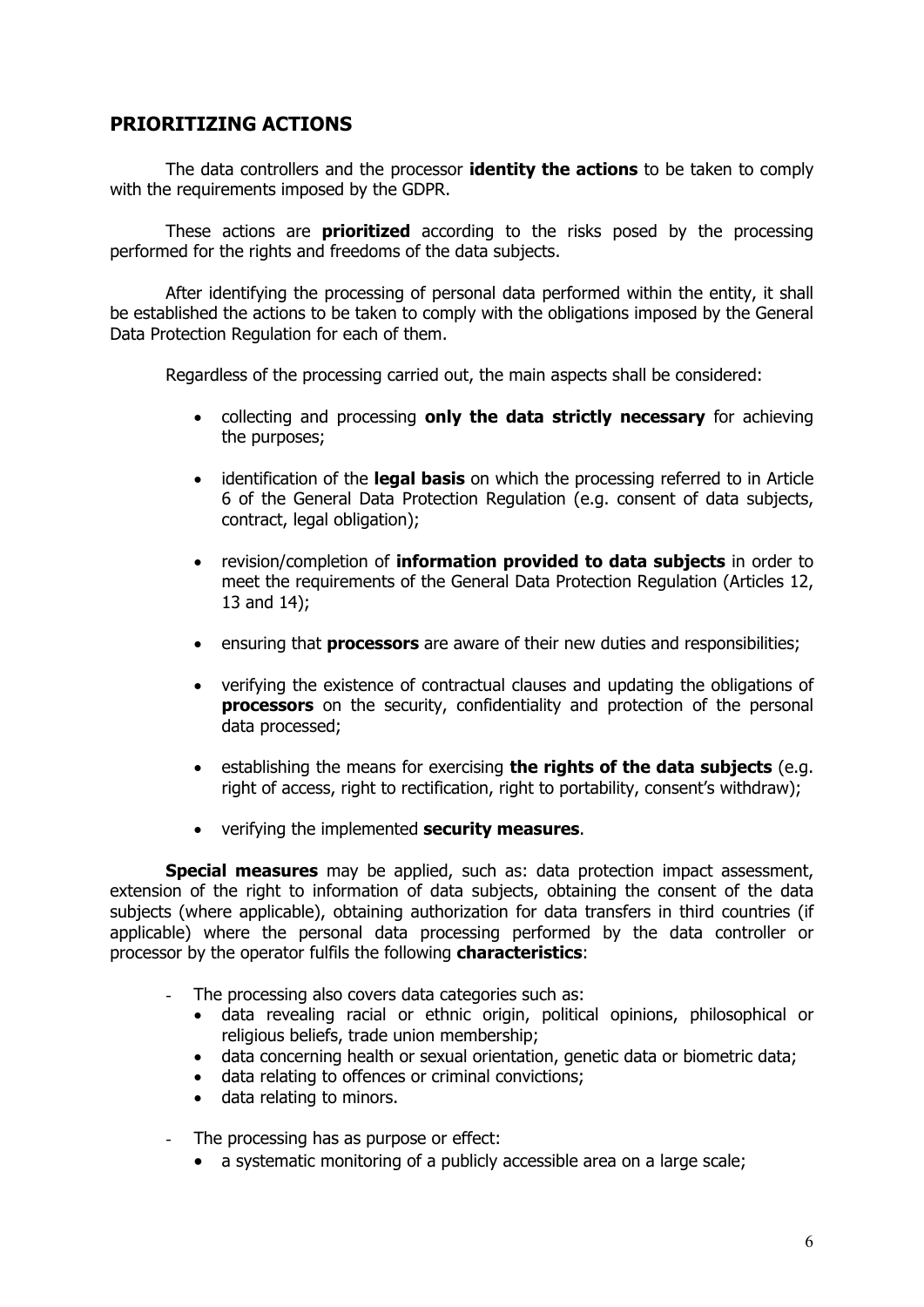## **PRIORITIZING ACTIONS**

The data controllers and the processor **identity the actions** to be taken to comply with the requirements imposed by the GDPR.

These actions are **prioritized** according to the risks posed by the processing performed for the rights and freedoms of the data subjects.

After identifying the processing of personal data performed within the entity, it shall be established the actions to be taken to comply with the obligations imposed by the General Data Protection Regulation for each of them.

Regardless of the processing carried out, the main aspects shall be considered:

- collecting and processing **only the data strictly necessary** for achieving the purposes;
- identification of the **legal basis** on which the processing referred to in Article 6 of the General Data Protection Regulation (e.g. consent of data subjects, contract, legal obligation);
- revision/completion of **information provided to data subjects** in order to meet the requirements of the General Data Protection Regulation (Articles 12, 13 and 14);
- ensuring that **processors** are aware of their new duties and responsibilities;
- verifying the existence of contractual clauses and updating the obligations of **processors** on the security, confidentiality and protection of the personal data processed;
- **e** establishing the means for exercising **the rights of the data subjects** (e.g. right of access, right to rectification, right to portability, consent's withdraw);
- verifying the implemented **security measures**.

**Special measures** may be applied, such as: data protection impact assessment, extension of the right to information of data subjects, obtaining the consent of the data subjects (where applicable), obtaining authorization for data transfers in third countries (if applicable) where the personal data processing performed by the data controller or processor by the operator fulfils the following **characteristics**:

- The processing also covers data categories such as:
	- data revealing racial or ethnic origin, political opinions, philosophical or religious beliefs, trade union membership;
	- data concerning health or sexual orientation, genetic data or biometric data;
	- data relating to offences or criminal convictions;
	- data relating to minors.
- The processing has as purpose or effect:
	- a systematic monitoring of a publicly accessible area on a large scale;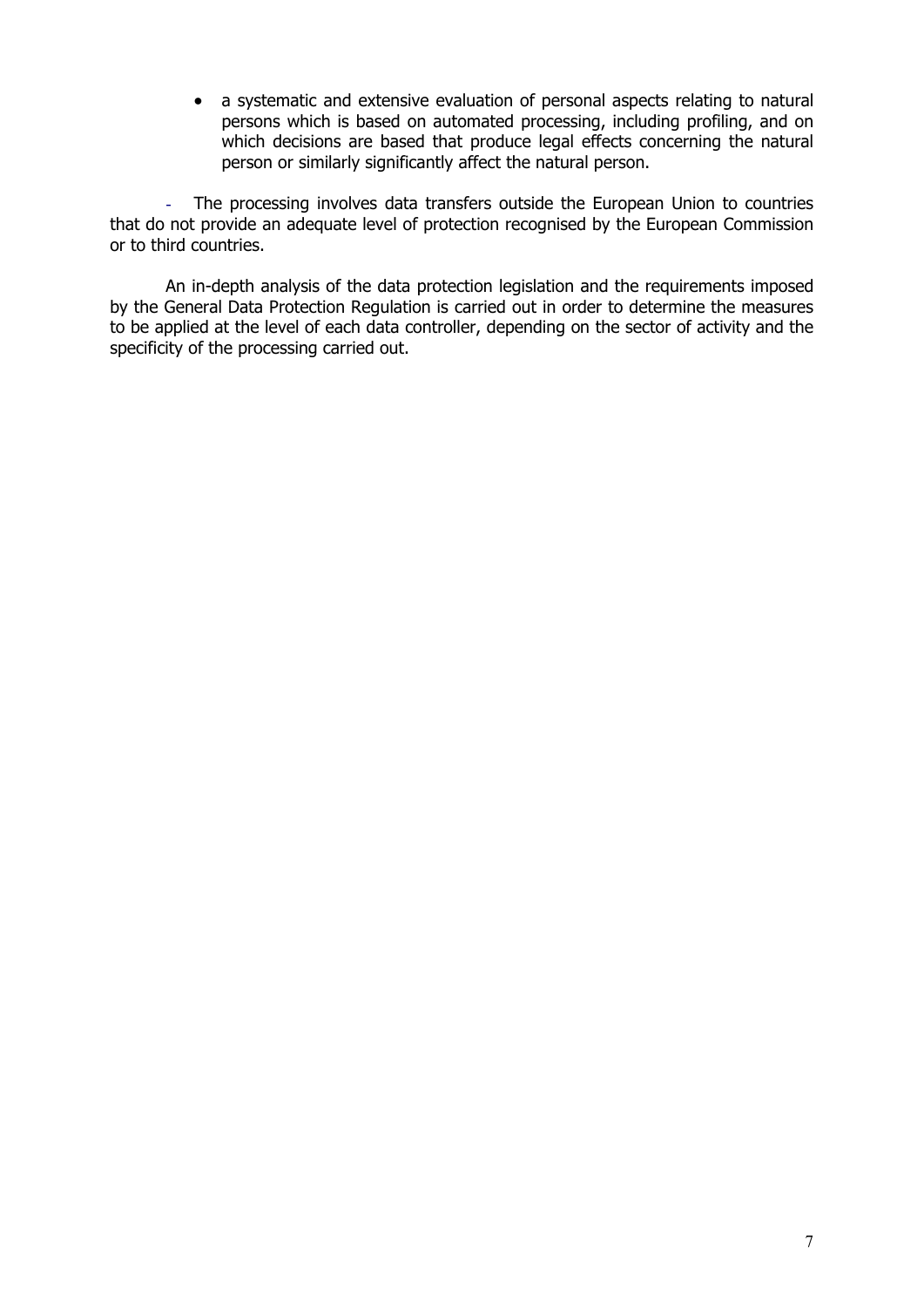a systematic and extensive evaluation of personal aspects relating to natural persons which is based on automated processing, including profiling, and on which decisions are based that produce legal effects concerning the natural person or similarly significantly affect the natural person.

The processing involves data transfers outside the European Union to countries that do not provide an adequate level of protection recognised by the European Commission or to third countries.

An in-depth analysis of the data protection legislation and the requirements imposed by the General Data Protection Regulation is carried out in order to determine the measures to be applied at the level of each data controller, depending on the sector of activity and the specificity of the processing carried out.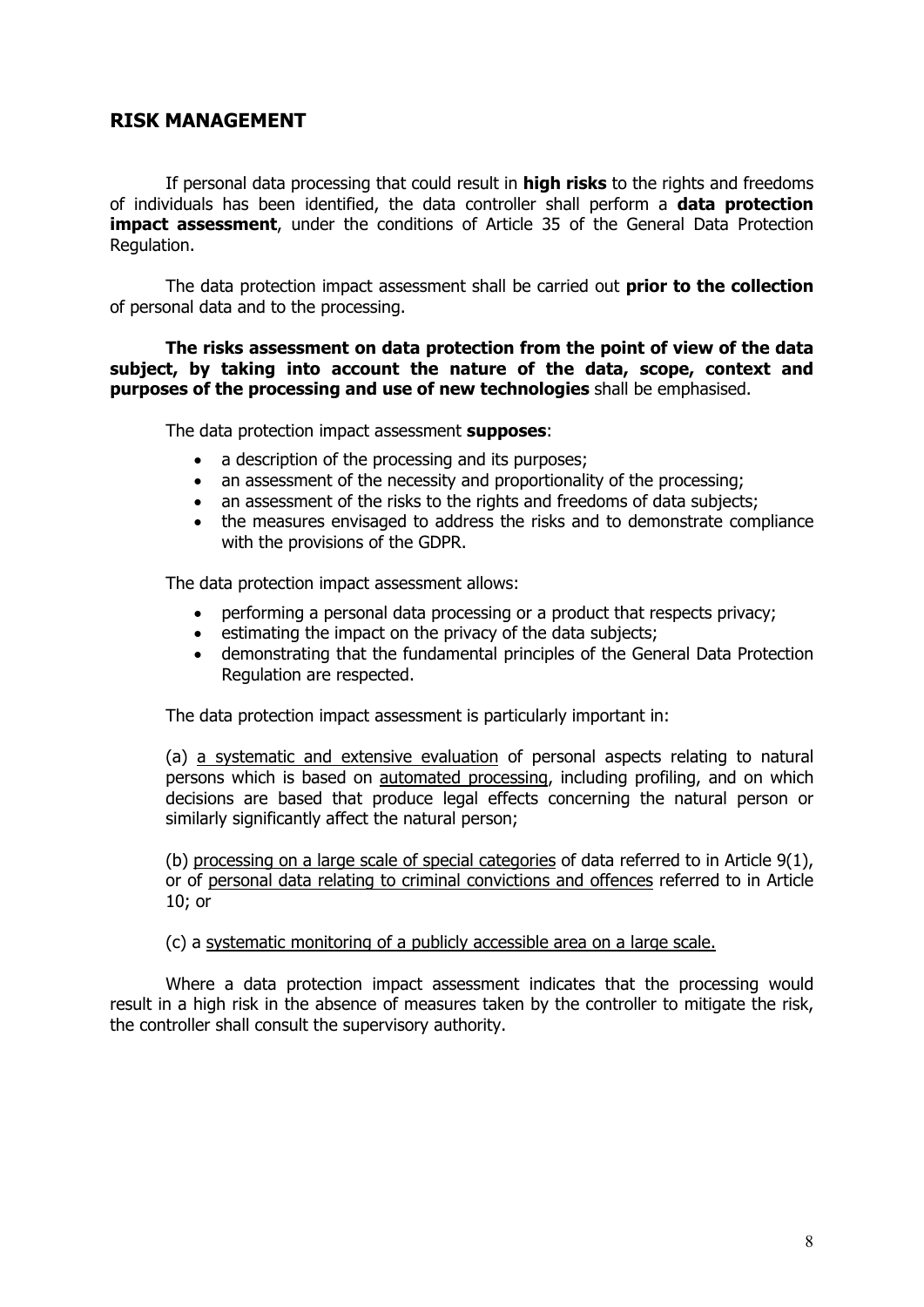## **RISK MANAGEMENT**

If personal data processing that could result in **high risks** to the rights and freedoms of individuals has been identified, the data controller shall perform a **data protection impact assessment**, under the conditions of Article 35 of the General Data Protection Regulation.

The data protection impact assessment shall be carried out **prior to the collection**  of personal data and to the processing.

**The risks assessment on data protection from the point of view of the data subject, by taking into account the nature of the data, scope, context and purposes of the processing and use of new technologies** shall be emphasised.

The data protection impact assessment **supposes**:

- a description of the processing and its purposes:
- an assessment of the necessity and proportionality of the processing;
- an assessment of the risks to the rights and freedoms of data subjects;
- the measures envisaged to address the risks and to demonstrate compliance with the provisions of the GDPR.

The data protection impact assessment allows:

- performing a personal data processing or a product that respects privacy;
- **e** estimating the impact on the privacy of the data subjects;
- demonstrating that the fundamental principles of the General Data Protection Regulation are respected.

The data protection impact assessment is particularly important in:

(a) a systematic and extensive evaluation of personal aspects relating to natural persons which is based on automated processing, including profiling, and on which decisions are based that produce legal effects concerning the natural person or similarly significantly affect the natural person;

(b) processing on a large scale of special categories of data referred to in Article 9(1), or of personal data relating to criminal convictions and offences referred to in Article 10; or

(c) a systematic monitoring of a publicly accessible area on a large scale.

Where a data protection impact assessment indicates that the processing would result in a high risk in the absence of measures taken by the controller to mitigate the risk, the controller shall consult the supervisory authority.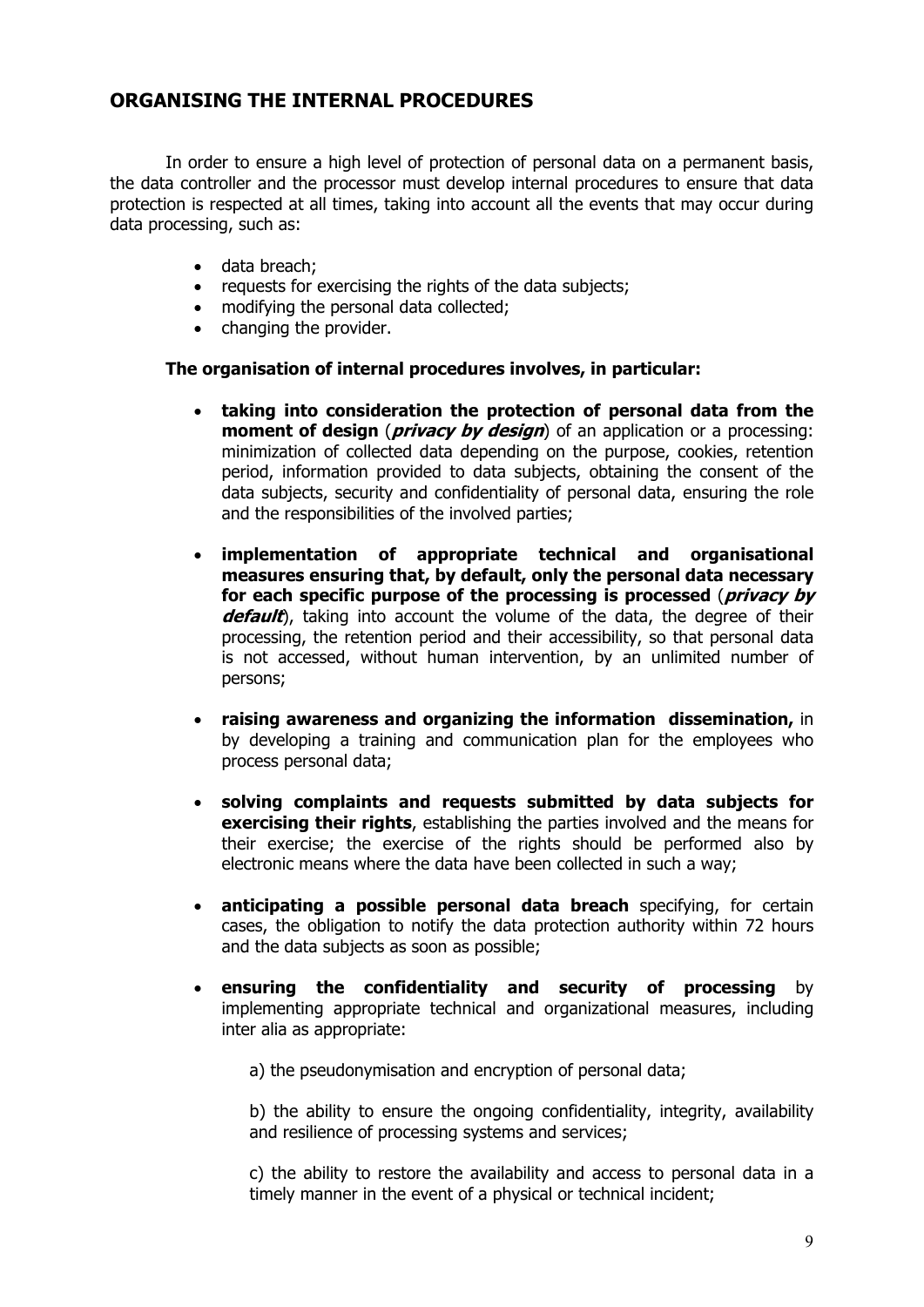## **ORGANISING THE INTERNAL PROCEDURES**

In order to ensure a high level of protection of personal data on a permanent basis, the data controller and the processor must develop internal procedures to ensure that data protection is respected at all times, taking into account all the events that may occur during data processing, such as:

- data breach:
- requests for exercising the rights of the data subjects;
- modifying the personal data collected;
- changing the provider.

#### **The organisation of internal procedures involves, in particular:**

- **taking into consideration the protection of personal data from the moment of design** *(privacy by design*) of an application or a processing: minimization of collected data depending on the purpose, cookies, retention period, information provided to data subjects, obtaining the consent of the data subjects, security and confidentiality of personal data, ensuring the role and the responsibilities of the involved parties;
- **implementation of appropriate technical and organisational measures ensuring that, by default, only the personal data necessary for each specific purpose of the processing is processed** (**privacy by default**), taking into account the volume of the data, the degree of their processing, the retention period and their accessibility, so that personal data is not accessed, without human intervention, by an unlimited number of persons;
- **raising awareness and organizing the information dissemination,** in by developing a training and communication plan for the employees who process personal data;
- **solving complaints and requests submitted by data subjects for exercising their rights**, establishing the parties involved and the means for their exercise; the exercise of the rights should be performed also by electronic means where the data have been collected in such a way;
- **anticipating a possible personal data breach** specifying, for certain cases, the obligation to notify the data protection authority within 72 hours and the data subjects as soon as possible;
- **ensuring the confidentiality and security of processing** by implementing appropriate technical and organizational measures, including inter alia as appropriate:

a) the pseudonymisation and encryption of personal data;

b) the ability to ensure the ongoing confidentiality, integrity, availability and resilience of processing systems and services;

c) the ability to restore the availability and access to personal data in a timely manner in the event of a physical or technical incident;